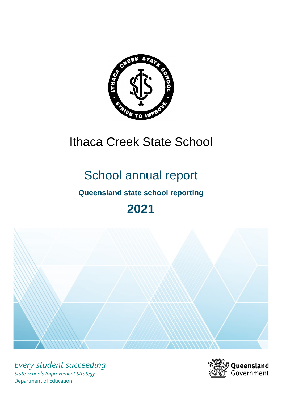

# Ithaca Creek State School

# School annual report

# **Queensland state school reporting**

# **2021**



*Every student succeeding State Schools Improvement Strategy* Department of Education

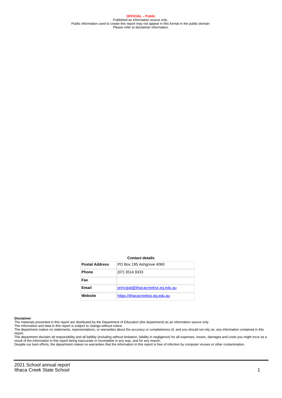**OFFICIAL – Public** Published as information source only. Public information used to create this report may not appear in this format in the public domain Please refer to disclaimer information.

#### **Contact details**

| <b>Postal Address</b> | PO Box 195 Ashgrove 4060          |
|-----------------------|-----------------------------------|
| <b>Phone</b>          | (07) 3514 9333                    |
| Fax                   |                                   |
| Email                 | principal@ithacacreekss.eq.edu.au |
| Website               | https://ithacacreekss.eq.edu.au   |

#### **Disclaimer**

The materials presented in this report are distributed by the Department of Education (the department) as an information source only.

The information and data in this report is subject to change without notice.<br>The department makes no statements, representations, or warranties about the accuracy or completeness of, and you should not rely on, any informa report.

The department disclaim all responsibility and all liability (including without limitation, liability in negligence) for all expenses, losses, damages and costs you might incur as a result of the information in this report being inaccurate or incomplete in any way, and for any reason. Despite our best efforts, the department makes no warranties that the information in this report is free of infection by computer viruses or other contamination.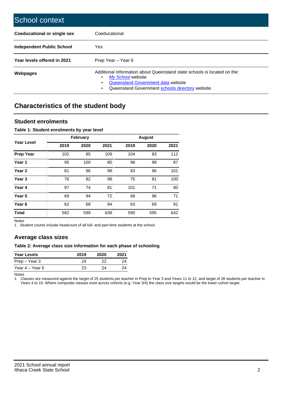| School context                   |                                                                                                                                                                                              |
|----------------------------------|----------------------------------------------------------------------------------------------------------------------------------------------------------------------------------------------|
| Coeducational or single sex      | Coeducational                                                                                                                                                                                |
| <b>Independent Public School</b> | Yes                                                                                                                                                                                          |
| Year levels offered in 2021      | Prep Year - Year 6                                                                                                                                                                           |
| Webpages                         | Additional information about Queensland state schools is located on the:<br>My School website<br>Queensland Government data website<br>Queensland Government schools directory website.<br>٠ |

# **Characteristics of the student body**

## **Student enrolments**

#### **Table 1: Student enrolments by year level**

|                   |      | <b>February</b> |      |      | <b>August</b> |      |
|-------------------|------|-----------------|------|------|---------------|------|
| <b>Year Level</b> | 2019 | 2020            | 2021 | 2019 | 2020          | 2021 |
| <b>Prep Year</b>  | 102  | 85              | 109  | 104  | 83            | 112  |
| Year 1            | 95   | 100             | 85   | 96   | 99            | 87   |
| Year 2            | 81   | 96              | 99   | 83   | 96            | 101  |
| Year <sub>3</sub> | 76   | 82              | 98   | 75   | 81            | 100  |
| Year 4            | 97   | 74              | 81   | 101  | 71            | 80   |
| Year <sub>5</sub> | 69   | 94              | 72   | 68   | 96            | 71   |
| Year <sub>6</sub> | 62   | 68              | 94   | 63   | 69            | 91   |
| <b>Total</b>      | 582  | 599             | 638  | 590  | 595           | 642  |

Notes

1. Student counts include headcount of all full- and part-time students at the school.

## **Average class sizes**

### **Table 2: Average class size information for each phase of schooling**

| <b>Year Levels</b> | 2019 | 2020 | 2021 |
|--------------------|------|------|------|
| Prep – Year 3      | 24   | つつ   | 24   |
| Year 4 – Year 6    | 23   | 24   | 24   |

Notes

1. Classes are measured against the target of 25 students per teacher in Prep to Year 3 and Years 11 to 12, and target of 28 students per teacher in Years 4 to 10. Where composite classes exist across cohorts (e.g. Year 3/4) the class size targets would be the lower cohort target.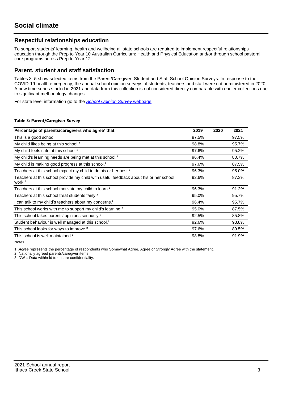## **Respectful relationships education**

To support students' learning, health and wellbeing all state schools are required to implement respectful relationships education through the Prep to Year 10 Australian Curriculum: Health and Physical Education and/or through school pastoral care programs across Prep to Year 12.

## **Parent, student and staff satisfaction**

Tables 3–5 show selected items from the Parent/Caregiver, Student and Staff School Opinion Surveys. In response to the COVID-19 health emergency, the annual school opinion surveys of students, teachers and staff were not administered in 2020. A new time series started in 2021 and data from this collection is not considered directly comparable with earlier collections due to significant methodology changes.

For state level information go to the **[School Opinion Survey](https://qed.qld.gov.au/publications/reports/statistics/schooling/schools/schoolopinionsurvey) webpage**.

#### **Table 3: Parent/Caregiver Survey**

| Percentage of parents/caregivers who agree <sup>1</sup> that:                                               | 2019  | 2020 | 2021  |
|-------------------------------------------------------------------------------------------------------------|-------|------|-------|
| This is a good school.                                                                                      | 97.5% |      | 97.5% |
| My child likes being at this school. <sup>2</sup>                                                           | 98.8% |      | 95.7% |
| My child feels safe at this school. <sup>2</sup>                                                            | 97.6% |      | 95.2% |
| My child's learning needs are being met at this school. <sup>2</sup>                                        | 96.4% |      | 80.7% |
| My child is making good progress at this school. <sup>2</sup>                                               | 97.6% |      | 87.5% |
| Teachers at this school expect my child to do his or her best. <sup>2</sup>                                 | 96.3% |      | 95.0% |
| Teachers at this school provide my child with useful feedback about his or her school<br>work. <sup>2</sup> | 92.6% |      | 87.3% |
| Teachers at this school motivate my child to learn. <sup>2</sup>                                            | 96.3% |      | 91.2% |
| Teachers at this school treat students fairly. <sup>2</sup>                                                 | 95.0% |      | 95.7% |
| can talk to my child's teachers about my concerns. <sup>2</sup>                                             | 96.4% |      | 95.7% |
| This school works with me to support my child's learning. <sup>2</sup>                                      | 95.0% |      | 87.5% |
| This school takes parents' opinions seriously. <sup>2</sup>                                                 | 92.5% |      | 85.8% |
| Student behaviour is well managed at this school. <sup>2</sup>                                              | 92.6% |      | 93.8% |
| This school looks for ways to improve. <sup>2</sup>                                                         | 97.6% |      | 89.5% |
| This school is well maintained. <sup>2</sup>                                                                | 98.8% |      | 91.9% |

Notes

1. Agree represents the percentage of respondents who Somewhat Agree, Agree or Strongly Agree with the statement.

2. Nationally agreed parents/caregiver items.

3. DW = Data withheld to ensure confidentiality.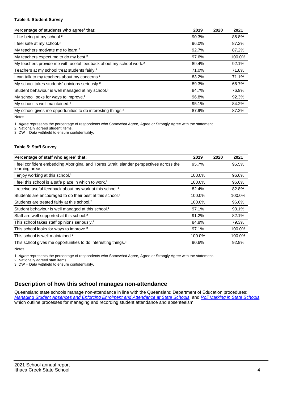#### **Table 4: Student Survey**

| Percentage of students who agree <sup>1</sup> that:                            | 2019  | 2020 | 2021   |
|--------------------------------------------------------------------------------|-------|------|--------|
| I like being at my school. <sup>2</sup>                                        | 90.3% |      | 86.8%  |
| I feel safe at my school. <sup>2</sup>                                         | 96.0% |      | 87.2%  |
| My teachers motivate me to learn. <sup>2</sup>                                 | 92.7% |      | 87.2%  |
| My teachers expect me to do my best. <sup>2</sup>                              | 97.6% |      | 100.0% |
| My teachers provide me with useful feedback about my school work. <sup>2</sup> | 89.4% |      | 92.1%  |
| Teachers at my school treat students fairly. <sup>2</sup>                      | 71.0% |      | 71.8%  |
| I can talk to my teachers about my concerns. <sup>2</sup>                      | 83.2% |      | 71.1%  |
| My school takes students' opinions seriously. <sup>2</sup>                     | 89.3% |      | 66.7%  |
| Student behaviour is well managed at my school. <sup>2</sup>                   | 84.7% |      | 76.9%  |
| My school looks for ways to improve. <sup>2</sup>                              | 96.8% |      | 92.3%  |
| My school is well maintained. <sup>2</sup>                                     | 95.1% |      | 84.2%  |
| My school gives me opportunities to do interesting things. <sup>2</sup>        | 87.9% |      | 87.2%  |

Notes

1. Agree represents the percentage of respondents who Somewhat Agree, Agree or Strongly Agree with the statement.

2. Nationally agreed student items.

3. DW = Data withheld to ensure confidentiality.

#### **Table 5: Staff Survey**

| Percentage of staff who agree <sup>1</sup> that:                                                            | 2019   | 2020 | 2021   |
|-------------------------------------------------------------------------------------------------------------|--------|------|--------|
| I feel confident embedding Aboriginal and Torres Strait Islander perspectives across the<br>learning areas. | 95.7%  |      | 95.5%  |
| I enjoy working at this school. <sup>2</sup>                                                                | 100.0% |      | 96.6%  |
| I feel this school is a safe place in which to work. <sup>2</sup>                                           | 100.0% |      | 96.6%  |
| I receive useful feedback about my work at this school. <sup>2</sup>                                        | 82.4%  |      | 82.8%  |
| Students are encouraged to do their best at this school. <sup>2</sup>                                       | 100.0% |      | 100.0% |
| Students are treated fairly at this school. <sup>2</sup>                                                    | 100.0% |      | 96.6%  |
| Student behaviour is well managed at this school. <sup>2</sup>                                              | 97.1%  |      | 93.1%  |
| Staff are well supported at this school. <sup>2</sup>                                                       | 91.2%  |      | 82.1%  |
| This school takes staff opinions seriously. <sup>2</sup>                                                    | 84.8%  |      | 79.3%  |
| This school looks for ways to improve. <sup>2</sup>                                                         | 97.1%  |      | 100.0% |
| This school is well maintained. <sup>2</sup>                                                                | 100.0% |      | 100.0% |
| This school gives me opportunities to do interesting things. <sup>2</sup>                                   | 90.6%  |      | 92.9%  |

Notes

1. Agree represents the percentage of respondents who Somewhat Agree, Agree or Strongly Agree with the statement.

2. Nationally agreed staff items.

3. DW = Data withheld to ensure confidentiality.

## **Description of how this school manages non-attendance**

Queensland state schools manage non-attendance in line with the Queensland Department of Education procedures: [Managing Student Absences and Enforcing Enrolment and Attendance at State Schools](https://ppr.qed.qld.gov.au/pp/managing-student-absences-and-enforcing-enrolment-and-attendance-at-state-schools-procedure); and [Roll Marking in State Schools,](https://ppr.qed.qld.gov.au/pp/roll-marking-in-state-schools-procedure) which outline processes for managing and recording student attendance and absenteeism.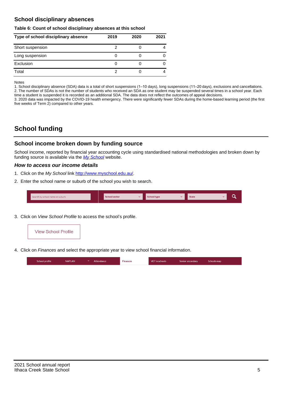## **School disciplinary absences**

#### **Table 6: Count of school disciplinary absences at this school**

| Type of school disciplinary absence | 2019 | 2020 | 2021 |
|-------------------------------------|------|------|------|
| Short suspension                    |      |      |      |
| Long suspension                     |      |      |      |
| Exclusion                           | O    |      |      |
| Total                               |      |      |      |

Notes

1. School disciplinary absence (SDA) data is a total of short suspensions (1–10 days), long suspensions (11–20 days), exclusions and cancellations. 2. The number of SDAs is not the number of students who received an SDA as one student may be suspended several times in a school year. Each time a student is suspended it is recorded as an additional SDA. The data does not reflect the outcomes of appeal decisions.

3. 2020 data was impacted by the COVID-19 health emergency. There were significantly fewer SDAs during the home-based learning period (the first five weeks of Term 2) compared to other years.

# **School funding**

## **School income broken down by funding source**

School income, reported by financial year accounting cycle using standardised national methodologies and broken down by funding source is available via the  $My$  School website.

### **How to access our income details**

- 1. Click on the My School link <http://www.myschool.edu.au/>.
- 2. Enter the school name or suburb of the school you wish to search.

|  | Search by school name or suburb |  | <b>School sector</b> |  | $\sim$ and $\sim$ represents the set of $\sim$ | <b>State</b> |  |  |  |
|--|---------------------------------|--|----------------------|--|------------------------------------------------|--------------|--|--|--|
|--|---------------------------------|--|----------------------|--|------------------------------------------------|--------------|--|--|--|

3. Click on View School Profile to access the school's profile.



4. Click on Finances and select the appropriate year to view school financial information.

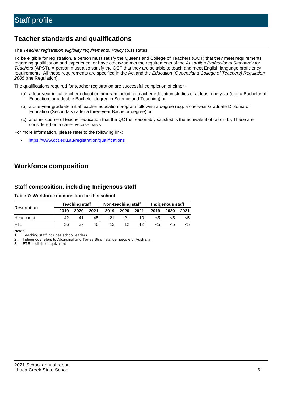## **Teacher standards and qualifications**

The Teacher registration eligibility requirements: Policy (p.1) states:

To be eligible for registration, a person must satisfy the Queensland College of Teachers (QCT) that they meet requirements regarding qualification and experience, or have otherwise met the requirements of the Australian Professional Standards for Teachers (APST). A person must also satisfy the QCT that they are suitable to teach and meet English language proficiency requirements. All these requirements are specified in the Act and the Education (Queensland College of Teachers) Regulation 2005 (the Regulation).

The qualifications required for teacher registration are successful completion of either -

- (a) a four-year initial teacher education program including teacher education studies of at least one year (e.g. a Bachelor of Education, or a double Bachelor degree in Science and Teaching) or
- (b) a one-year graduate initial teacher education program following a degree (e.g. a one-year Graduate Diploma of Education (Secondary) after a three-year Bachelor degree) or
- (c) another course of teacher education that the QCT is reasonably satisfied is the equivalent of (a) or (b). These are considered on a case-by-case basis.

For more information, please refer to the following link:

• <https://www.qct.edu.au/registration/qualifications>

# **Workforce composition**

## **Staff composition, including Indigenous staff**

**Table 7: Workforce composition for this school**

|                    | <b>Teaching staff</b> |      |      | Non-teaching staff |      |      | <b>Indigenous staff</b> |      |      |  |
|--------------------|-----------------------|------|------|--------------------|------|------|-------------------------|------|------|--|
| <b>Description</b> | 2019                  | 2020 | 2021 | 2019               | 2020 | 2021 | 2019                    | 2020 | 2021 |  |
| Headcount          |                       | 41   | 45   |                    |      | 19   | <5                      |      |      |  |
| <b>FTF</b>         | 36                    | 37   | 40   | 13                 |      | 12   | <5                      |      |      |  |

Notes

1. Teaching staff includes school leaders.

2. Indigenous refers to Aboriginal and Torres Strait Islander people of Australia.

3. FTE = full-time equivalent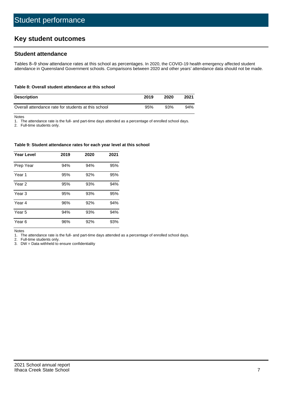# **Key student outcomes**

## **Student attendance**

Tables 8–9 show attendance rates at this school as percentages. In 2020, the COVID-19 health emergency affected student attendance in Queensland Government schools. Comparisons between 2020 and other years' attendance data should not be made.

#### **Table 8: Overall student attendance at this school**

| <b>Description</b>                                  | 2019 | 2020 | 2021 |
|-----------------------------------------------------|------|------|------|
| Overall attendance rate for students at this school | 95%  | 93%  | 94%  |

Notes

1. The attendance rate is the full- and part-time days attended as a percentage of enrolled school days.

2. Full-time students only.

#### **Table 9: Student attendance rates for each year level at this school**

| <b>Year Level</b> | 2019 | 2020 | 2021 |
|-------------------|------|------|------|
| Prep Year         | 94%  | 94%  | 95%  |
| Year 1            | 95%  | 92%  | 95%  |
| Year 2            | 95%  | 93%  | 94%  |
| Year 3            | 95%  | 93%  | 95%  |
| Year 4            | 96%  | 92%  | 94%  |
| Year 5            | 94%  | 93%  | 94%  |
| Year <sub>6</sub> | 96%  | 92%  | 93%  |

Notes

1. The attendance rate is the full- and part-time days attended as a percentage of enrolled school days.

2. Full-time students only.

3. DW = Data withheld to ensure confidentiality